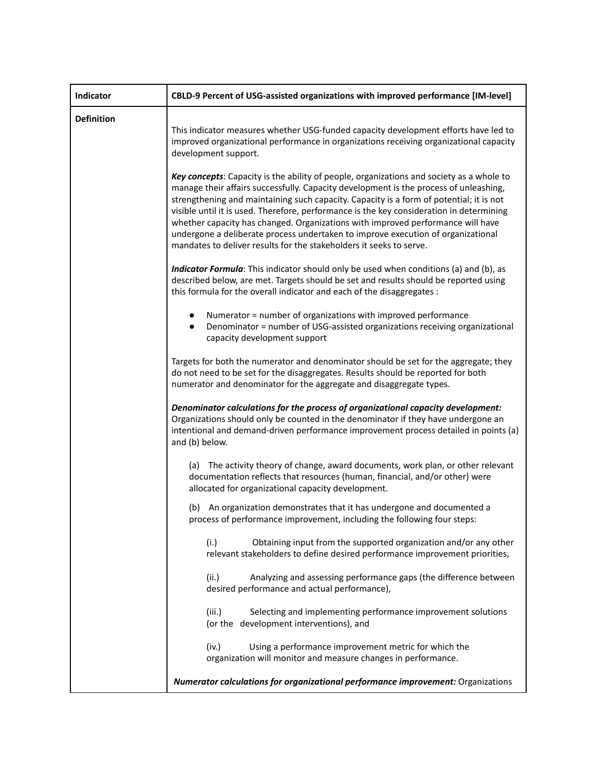| Indicator         | CBLD-9 Percent of USG-assisted organizations with improved performance [IM-level]                                                                                                                                                                                                                                                                                                                                                                                                                                                                                                                                      |
|-------------------|------------------------------------------------------------------------------------------------------------------------------------------------------------------------------------------------------------------------------------------------------------------------------------------------------------------------------------------------------------------------------------------------------------------------------------------------------------------------------------------------------------------------------------------------------------------------------------------------------------------------|
| <b>Definition</b> | This indicator measures whether USG-funded capacity development efforts have led to<br>improved organizational performance in organizations receiving organizational capacity<br>development support.                                                                                                                                                                                                                                                                                                                                                                                                                  |
|                   | Key concepts: Capacity is the ability of people, organizations and society as a whole to<br>manage their affairs successfully. Capacity development is the process of unleashing,<br>strengthening and maintaining such capacity. Capacity is a form of potential; it is not<br>visible until it is used. Therefore, performance is the key consideration in determining<br>whether capacity has changed. Organizations with improved performance will have<br>undergone a deliberate process undertaken to improve execution of organizational<br>mandates to deliver results for the stakeholders it seeks to serve. |
|                   | Indicator Formula: This indicator should only be used when conditions (a) and (b), as<br>described below, are met. Targets should be set and results should be reported using<br>this formula for the overall indicator and each of the disaggregates :                                                                                                                                                                                                                                                                                                                                                                |
|                   | Numerator = number of organizations with improved performance<br>Denominator = number of USG-assisted organizations receiving organizational<br>$\bullet$<br>capacity development support                                                                                                                                                                                                                                                                                                                                                                                                                              |
|                   | Targets for both the numerator and denominator should be set for the aggregate; they<br>do not need to be set for the disaggregates. Results should be reported for both<br>numerator and denominator for the aggregate and disaggregate types.                                                                                                                                                                                                                                                                                                                                                                        |
|                   | Denominator calculations for the process of organizational capacity development:<br>Organizations should only be counted in the denominator if they have undergone an<br>intentional and demand-driven performance improvement process detailed in points (a)<br>and (b) below.                                                                                                                                                                                                                                                                                                                                        |
|                   | (a) The activity theory of change, award documents, work plan, or other relevant<br>documentation reflects that resources (human, financial, and/or other) were<br>allocated for organizational capacity development.                                                                                                                                                                                                                                                                                                                                                                                                  |
|                   | (b) An organization demonstrates that it has undergone and documented a<br>process of performance improvement, including the following four steps:                                                                                                                                                                                                                                                                                                                                                                                                                                                                     |
|                   | Obtaining input from the supported organization and/or any other<br>(i.)<br>relevant stakeholders to define desired performance improvement priorities,                                                                                                                                                                                                                                                                                                                                                                                                                                                                |
|                   | Analyzing and assessing performance gaps (the difference between<br>(ii.)<br>desired performance and actual performance),                                                                                                                                                                                                                                                                                                                                                                                                                                                                                              |
|                   | Selecting and implementing performance improvement solutions<br>(iii.)<br>(or the development interventions), and                                                                                                                                                                                                                                                                                                                                                                                                                                                                                                      |
|                   | (iv.)<br>Using a performance improvement metric for which the<br>organization will monitor and measure changes in performance.                                                                                                                                                                                                                                                                                                                                                                                                                                                                                         |
|                   | Numerator calculations for organizational performance improvement: Organizations                                                                                                                                                                                                                                                                                                                                                                                                                                                                                                                                       |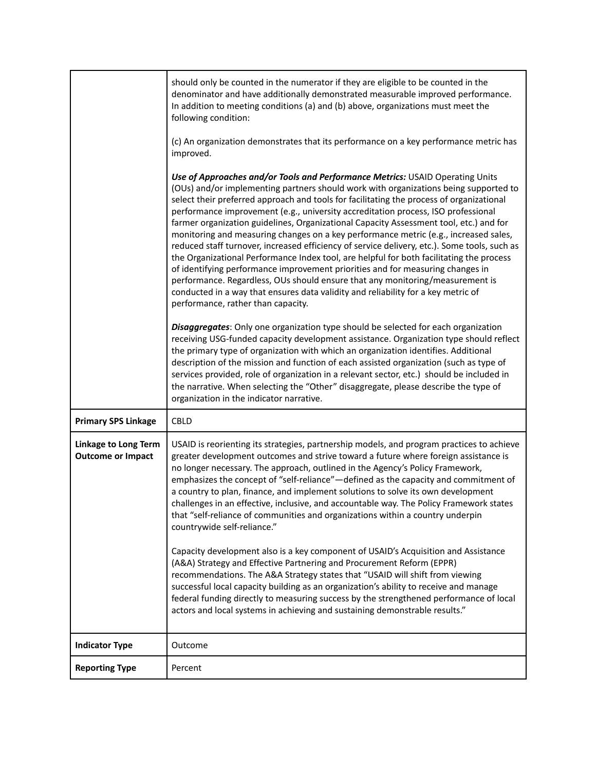|                                                  | should only be counted in the numerator if they are eligible to be counted in the<br>denominator and have additionally demonstrated measurable improved performance.<br>In addition to meeting conditions (a) and (b) above, organizations must meet the<br>following condition:<br>(c) An organization demonstrates that its performance on a key performance metric has<br>improved.<br>Use of Approaches and/or Tools and Performance Metrics: USAID Operating Units<br>(OUs) and/or implementing partners should work with organizations being supported to<br>select their preferred approach and tools for facilitating the process of organizational<br>performance improvement (e.g., university accreditation process, ISO professional<br>farmer organization guidelines, Organizational Capacity Assessment tool, etc.) and for<br>monitoring and measuring changes on a key performance metric (e.g., increased sales,<br>reduced staff turnover, increased efficiency of service delivery, etc.). Some tools, such as<br>the Organizational Performance Index tool, are helpful for both facilitating the process<br>of identifying performance improvement priorities and for measuring changes in<br>performance. Regardless, OUs should ensure that any monitoring/measurement is<br>conducted in a way that ensures data validity and reliability for a key metric of<br>performance, rather than capacity.<br>Disaggregates: Only one organization type should be selected for each organization<br>receiving USG-funded capacity development assistance. Organization type should reflect<br>the primary type of organization with which an organization identifies. Additional<br>description of the mission and function of each assisted organization (such as type of<br>services provided, role of organization in a relevant sector, etc.) should be included in |
|--------------------------------------------------|-------------------------------------------------------------------------------------------------------------------------------------------------------------------------------------------------------------------------------------------------------------------------------------------------------------------------------------------------------------------------------------------------------------------------------------------------------------------------------------------------------------------------------------------------------------------------------------------------------------------------------------------------------------------------------------------------------------------------------------------------------------------------------------------------------------------------------------------------------------------------------------------------------------------------------------------------------------------------------------------------------------------------------------------------------------------------------------------------------------------------------------------------------------------------------------------------------------------------------------------------------------------------------------------------------------------------------------------------------------------------------------------------------------------------------------------------------------------------------------------------------------------------------------------------------------------------------------------------------------------------------------------------------------------------------------------------------------------------------------------------------------------------------------------------------------------------------------------------------------------------------------------|
|                                                  | the narrative. When selecting the "Other" disaggregate, please describe the type of<br>organization in the indicator narrative.                                                                                                                                                                                                                                                                                                                                                                                                                                                                                                                                                                                                                                                                                                                                                                                                                                                                                                                                                                                                                                                                                                                                                                                                                                                                                                                                                                                                                                                                                                                                                                                                                                                                                                                                                           |
| <b>Primary SPS Linkage</b>                       | CBLD                                                                                                                                                                                                                                                                                                                                                                                                                                                                                                                                                                                                                                                                                                                                                                                                                                                                                                                                                                                                                                                                                                                                                                                                                                                                                                                                                                                                                                                                                                                                                                                                                                                                                                                                                                                                                                                                                      |
| Linkage to Long Term<br><b>Outcome or Impact</b> | USAID is reorienting its strategies, partnership models, and program practices to achieve<br>greater development outcomes and strive toward a future where foreign assistance is<br>no longer necessary. The approach, outlined in the Agency's Policy Framework,<br>emphasizes the concept of "self-reliance"—defined as the capacity and commitment of<br>a country to plan, finance, and implement solutions to solve its own development<br>challenges in an effective, inclusive, and accountable way. The Policy Framework states<br>that "self-reliance of communities and organizations within a country underpin<br>countrywide self-reliance."<br>Capacity development also is a key component of USAID's Acquisition and Assistance<br>(A&A) Strategy and Effective Partnering and Procurement Reform (EPPR)<br>recommendations. The A&A Strategy states that "USAID will shift from viewing<br>successful local capacity building as an organization's ability to receive and manage<br>federal funding directly to measuring success by the strengthened performance of local<br>actors and local systems in achieving and sustaining demonstrable results."                                                                                                                                                                                                                                                                                                                                                                                                                                                                                                                                                                                                                                                                                                                 |
| <b>Indicator Type</b>                            | Outcome                                                                                                                                                                                                                                                                                                                                                                                                                                                                                                                                                                                                                                                                                                                                                                                                                                                                                                                                                                                                                                                                                                                                                                                                                                                                                                                                                                                                                                                                                                                                                                                                                                                                                                                                                                                                                                                                                   |
| <b>Reporting Type</b>                            | Percent                                                                                                                                                                                                                                                                                                                                                                                                                                                                                                                                                                                                                                                                                                                                                                                                                                                                                                                                                                                                                                                                                                                                                                                                                                                                                                                                                                                                                                                                                                                                                                                                                                                                                                                                                                                                                                                                                   |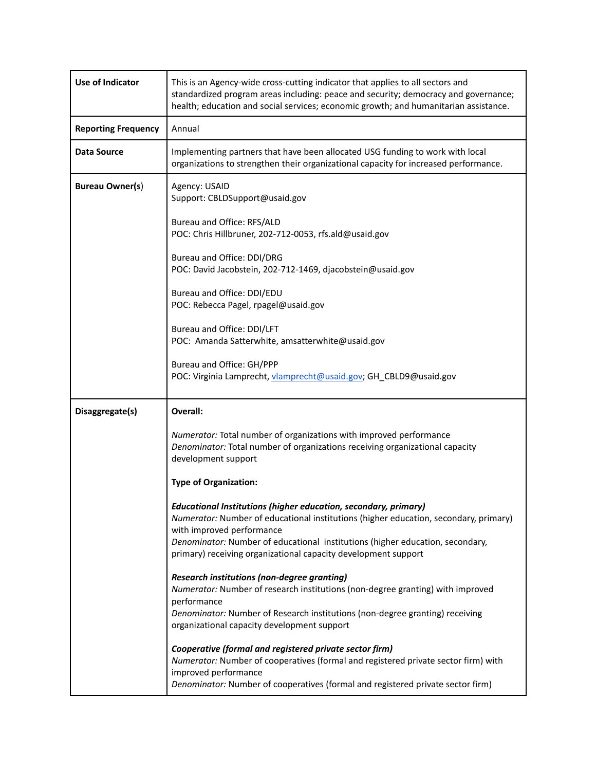| <b>Use of Indicator</b>    | This is an Agency-wide cross-cutting indicator that applies to all sectors and<br>standardized program areas including: peace and security; democracy and governance;<br>health; education and social services; economic growth; and humanitarian assistance.                                                                           |
|----------------------------|-----------------------------------------------------------------------------------------------------------------------------------------------------------------------------------------------------------------------------------------------------------------------------------------------------------------------------------------|
| <b>Reporting Frequency</b> | Annual                                                                                                                                                                                                                                                                                                                                  |
| <b>Data Source</b>         | Implementing partners that have been allocated USG funding to work with local<br>organizations to strengthen their organizational capacity for increased performance.                                                                                                                                                                   |
| <b>Bureau Owner(s)</b>     | Agency: USAID<br>Support: CBLDSupport@usaid.gov                                                                                                                                                                                                                                                                                         |
|                            | Bureau and Office: RFS/ALD<br>POC: Chris Hillbruner, 202-712-0053, rfs.ald@usaid.gov                                                                                                                                                                                                                                                    |
|                            | Bureau and Office: DDI/DRG<br>POC: David Jacobstein, 202-712-1469, djacobstein@usaid.gov                                                                                                                                                                                                                                                |
|                            | Bureau and Office: DDI/EDU<br>POC: Rebecca Pagel, rpagel@usaid.gov                                                                                                                                                                                                                                                                      |
|                            | Bureau and Office: DDI/LFT<br>POC: Amanda Satterwhite, amsatterwhite@usaid.gov                                                                                                                                                                                                                                                          |
|                            | Bureau and Office: GH/PPP<br>POC: Virginia Lamprecht, vlamprecht@usaid.gov; GH_CBLD9@usaid.gov                                                                                                                                                                                                                                          |
| Disaggregate(s)            | Overall:                                                                                                                                                                                                                                                                                                                                |
|                            | Numerator: Total number of organizations with improved performance<br>Denominator: Total number of organizations receiving organizational capacity<br>development support                                                                                                                                                               |
|                            | <b>Type of Organization:</b>                                                                                                                                                                                                                                                                                                            |
|                            | Educational Institutions (higher education, secondary, primary)<br>Numerator: Number of educational institutions (higher education, secondary, primary)<br>with improved performance<br>Denominator: Number of educational institutions (higher education, secondary,<br>primary) receiving organizational capacity development support |
|                            | <b>Research institutions (non-degree granting)</b><br>Numerator: Number of research institutions (non-degree granting) with improved<br>performance<br>Denominator: Number of Research institutions (non-degree granting) receiving<br>organizational capacity development support                                                      |
|                            | Cooperative (formal and registered private sector firm)<br>Numerator: Number of cooperatives (formal and registered private sector firm) with<br>improved performance<br>Denominator: Number of cooperatives (formal and registered private sector firm)                                                                                |